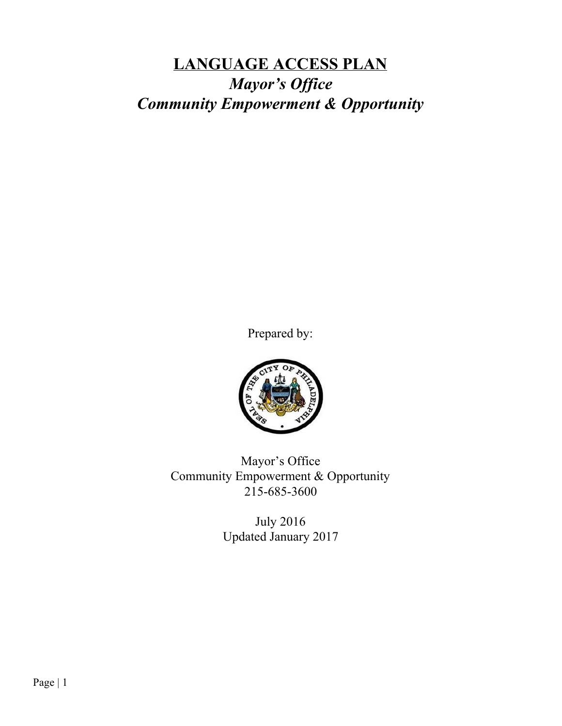# **LANGUAGE ACCESS PLAN** *Mayor's Office Community Empowerment & Opportunity*

Prepared by:



Mayor's Office Community Empowerment & Opportunity 215-685-3600

> July 2016 Updated January 2017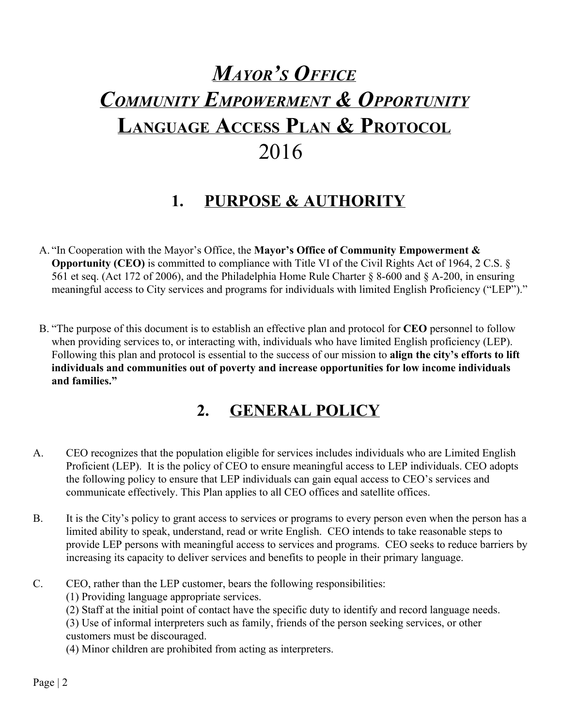# *MAYOR'S OFFICE COMMUNITY EMPOWERMENT & OPPORTUNITY* **LANGUAGE ACCESS PLAN & PROTOCOL** 2016

## **1. PURPOSE & AUTHORITY**

- A. "In Cooperation with the Mayor's Office, the **Mayor's Office of Community Empowerment & Opportunity (CEO)** is committed to compliance with Title VI of the Civil Rights Act of 1964, 2 C.S. § 561 et seq. (Act 172 of 2006), and the Philadelphia Home Rule Charter § 8-600 and § A-200, in ensuring meaningful access to City services and programs for individuals with limited English Proficiency ("LEP")."
- B. "The purpose of this document is to establish an effective plan and protocol for **CEO** personnel to follow when providing services to, or interacting with, individuals who have limited English proficiency (LEP). Following this plan and protocol is essential to the success of our mission to **align the city's efforts to lift individuals and communities out of poverty and increase opportunities for low income individuals and families."**

# **2. GENERAL POLICY**

- A. CEO recognizes that the population eligible for services includes individuals who are Limited English Proficient (LEP). It is the policy of CEO to ensure meaningful access to LEP individuals. CEO adopts the following policy to ensure that LEP individuals can gain equal access to CEO's services and communicate effectively. This Plan applies to all CEO offices and satellite offices.
- B. It is the City's policy to grant access to services or programs to every person even when the person has a limited ability to speak, understand, read or write English. CEO intends to take reasonable steps to provide LEP persons with meaningful access to services and programs. CEO seeks to reduce barriers by increasing its capacity to deliver services and benefits to people in their primary language.
- C. CEO, rather than the LEP customer, bears the following responsibilities:

(1) Providing language appropriate services.

(2) Staff at the initial point of contact have the specific duty to identify and record language needs.

(3) Use of informal interpreters such as family, friends of the person seeking services, or other customers must be discouraged.

(4) Minor children are prohibited from acting as interpreters.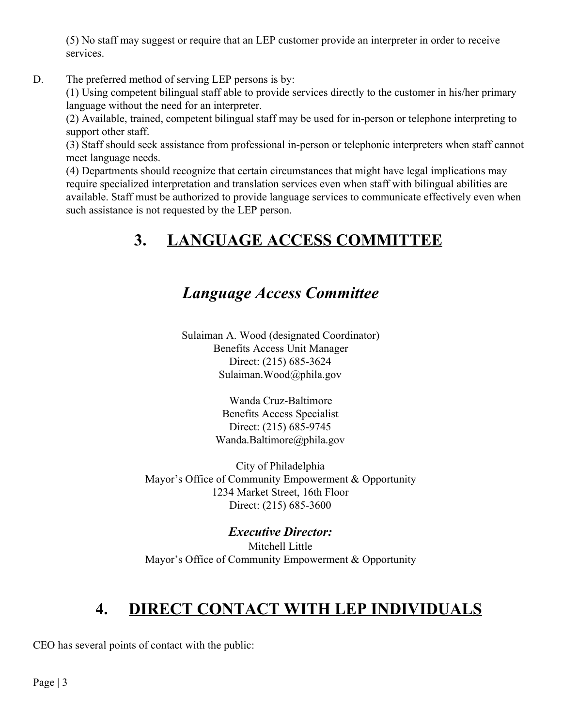(5) No staff may suggest or require that an LEP customer provide an interpreter in order to receive services.

D. The preferred method of serving LEP persons is by:

(1) Using competent bilingual staff able to provide services directly to the customer in his/her primary language without the need for an interpreter.

(2) Available, trained, competent bilingual staff may be used for in-person or telephone interpreting to support other staff.

(3) Staff should seek assistance from professional in-person or telephonic interpreters when staff cannot meet language needs.

(4) Departments should recognize that certain circumstances that might have legal implications may require specialized interpretation and translation services even when staff with bilingual abilities are available. Staff must be authorized to provide language services to communicate effectively even when such assistance is not requested by the LEP person.

# **3. LANGUAGE ACCESS COMMITTEE**

### *Language Access Committee*

Sulaiman A. Wood (designated Coordinator) Benefits Access Unit Manager Direct: (215) 685-3624 Sulaiman.Wood@phila.gov

> Wanda Cruz-Baltimore Benefits Access Specialist Direct: (215) 685-9745 Wanda.Baltimore@phila.gov

City of Philadelphia Mayor's Office of Community Empowerment & Opportunity 1234 Market Street, 16th Floor Direct: (215) 685-3600

*Executive Director:* Mitchell Little Mayor's Office of Community Empowerment & Opportunity

# **4. DIRECT CONTACT WITH LEP INDIVIDUALS**

CEO has several points of contact with the public: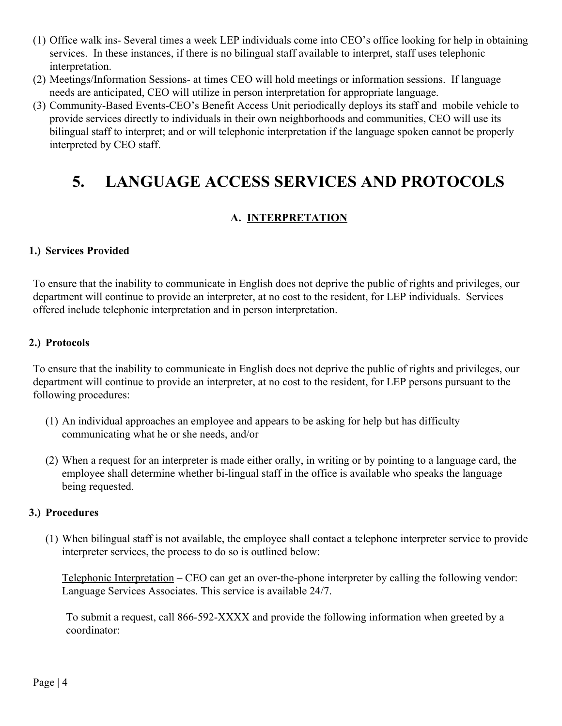- (1) Office walk ins- Several times a week LEP individuals come into CEO's office looking for help in obtaining services. In these instances, if there is no bilingual staff available to interpret, staff uses telephonic interpretation.
- (2) Meetings/Information Sessions- at times CEO will hold meetings or information sessions. If language needs are anticipated, CEO will utilize in person interpretation for appropriate language.
- (3) Community-Based Events-CEO's Benefit Access Unit periodically deploys its staff and mobile vehicle to provide services directly to individuals in their own neighborhoods and communities, CEO will use its bilingual staff to interpret; and or will telephonic interpretation if the language spoken cannot be properly interpreted by CEO staff.

## **5. LANGUAGE ACCESS SERVICES AND PROTOCOLS**

### **A. INTERPRETATION**

#### **1.) Services Provided**

To ensure that the inability to communicate in English does not deprive the public of rights and privileges, our department will continue to provide an interpreter, at no cost to the resident, for LEP individuals. Services offered include telephonic interpretation and in person interpretation.

#### **2.) Protocols**

To ensure that the inability to communicate in English does not deprive the public of rights and privileges, our department will continue to provide an interpreter, at no cost to the resident, for LEP persons pursuant to the following procedures:

- (1) An individual approaches an employee and appears to be asking for help but has difficulty communicating what he or she needs, and/or
- (2) When a request for an interpreter is made either orally, in writing or by pointing to a language card, the employee shall determine whether bi-lingual staff in the office is available who speaks the language being requested.

#### **3.) Procedures**

(1) When bilingual staff is not available, the employee shall contact a telephone interpreter service to provide interpreter services, the process to do so is outlined below:

Telephonic Interpretation – CEO can get an over-the-phone interpreter by calling the following vendor: Language Services Associates. This service is available 24/7.

To submit a request, call 866-592-XXXX and provide the following information when greeted by a coordinator: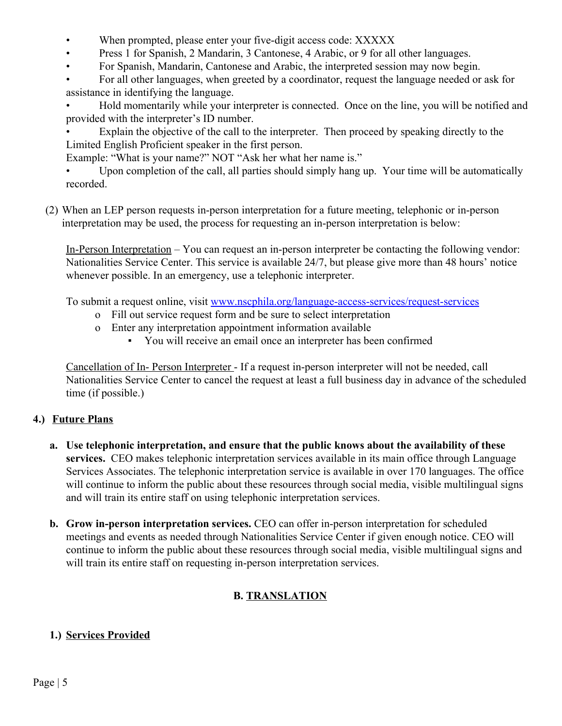- When prompted, please enter your five-digit access code: XXXXX
- Press 1 for Spanish, 2 Mandarin, 3 Cantonese, 4 Arabic, or 9 for all other languages.
- For Spanish, Mandarin, Cantonese and Arabic, the interpreted session may now begin.
- For all other languages, when greeted by a coordinator, request the language needed or ask for assistance in identifying the language.

• Hold momentarily while your interpreter is connected. Once on the line, you will be notified and provided with the interpreter's ID number.

Explain the objective of the call to the interpreter. Then proceed by speaking directly to the Limited English Proficient speaker in the first person.

Example: "What is your name?" NOT "Ask her what her name is."

• Upon completion of the call, all parties should simply hang up. Your time will be automatically recorded.

(2) When an LEP person requests in-person interpretation for a future meeting, telephonic or in-person interpretation may be used, the process for requesting an in-person interpretation is below:

In-Person Interpretation – You can request an in-person interpreter be contacting the following vendor: Nationalities Service Center. This service is available 24/7, but please give more than 48 hours' notice whenever possible. In an emergency, use a telephonic interpreter.

To submit a request online, visit [www.nscphila.org/language-access-services/request-services](http://www.nscphila.org/language-access-services/request-services)

- o Fill out service request form and be sure to select interpretation
- o Enter any interpretation appointment information available
	- You will receive an email once an interpreter has been confirmed

Cancellation of In- Person Interpreter - If a request in-person interpreter will not be needed, call Nationalities Service Center to cancel the request at least a full business day in advance of the scheduled time (if possible.)

### **4.) Future Plans**

- **a. Use telephonic interpretation, and ensure that the public knows about the availability of these services.** CEO makes telephonic interpretation services available in its main office through Language Services Associates. The telephonic interpretation service is available in over 170 languages. The office will continue to inform the public about these resources through social media, visible multilingual signs and will train its entire staff on using telephonic interpretation services.
- **b. Grow in-person interpretation services.** CEO can offer in-person interpretation for scheduled meetings and events as needed through Nationalities Service Center if given enough notice. CEO will continue to inform the public about these resources through social media, visible multilingual signs and will train its entire staff on requesting in-person interpretation services.

### **B. TRANSLATION**

### **1.) Services Provided**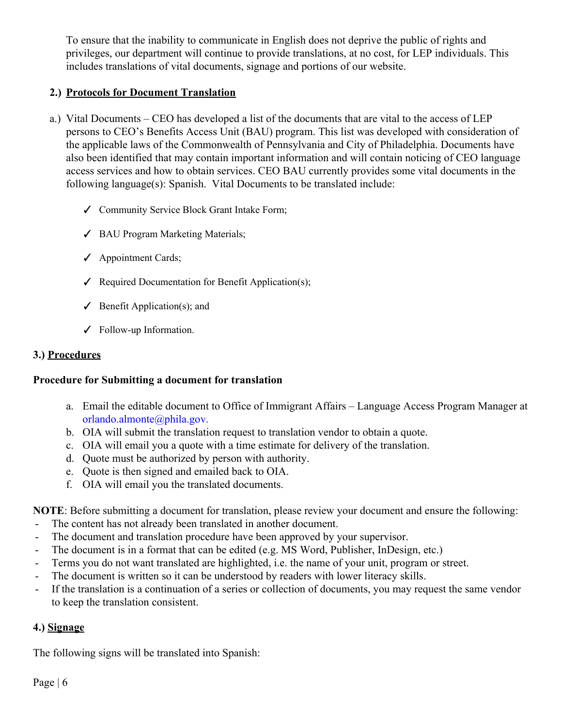To ensure that the inability to communicate in English does not deprive the public of rights and privileges, our department will continue to provide translations, at no cost, for LEP individuals. This includes translations of vital documents, signage and portions of our website.

### **2.) Protocols for Document Translation**

- a.) Vital Documents CEO has developed a list of the documents that are vital to the access of LEP persons to CEO's Benefits Access Unit (BAU) program. This list was developed with consideration of the applicable laws of the Commonwealth of Pennsylvania and City of Philadelphia. Documents have also been identified that may contain important information and will contain noticing of CEO language access services and how to obtain services. CEO BAU currently provides some vital documents in the following language(s): Spanish. Vital Documents to be translated include:
	- ✓ Community Service Block Grant Intake Form;
	- ✓ BAU Program Marketing Materials;
	- ✓ Appointment Cards;
	- ✓ Required Documentation for Benefit Application(s);
	- $\checkmark$  Benefit Application(s); and
	- ✓ Follow-up Information.

#### **3.) Procedures**

#### **Procedure for Submitting a document for translation**

- a. Email the editable document to Office of Immigrant Affairs Language Access Program Manager at [orlando.almonte@phila.gov.](mailto:orlando.almonte@phila.gov)
- b. OIA will submit the translation request to translation vendor to obtain a quote.
- c. OIA will email you a quote with a time estimate for delivery of the translation.
- d. Quote must be authorized by person with authority.
- e. Quote is then signed and emailed back to OIA.
- f. OIA will email you the translated documents.

**NOTE**: Before submitting a document for translation, please review your document and ensure the following:

- The content has not already been translated in another document.
- The document and translation procedure have been approved by your supervisor.
- The document is in a format that can be edited (e.g. MS Word, Publisher, InDesign, etc.)
- Terms you do not want translated are highlighted, i.e. the name of your unit, program or street.
- The document is written so it can be understood by readers with lower literacy skills.
- If the translation is a continuation of a series or collection of documents, you may request the same vendor to keep the translation consistent.

### **4.) Signage**

The following signs will be translated into Spanish: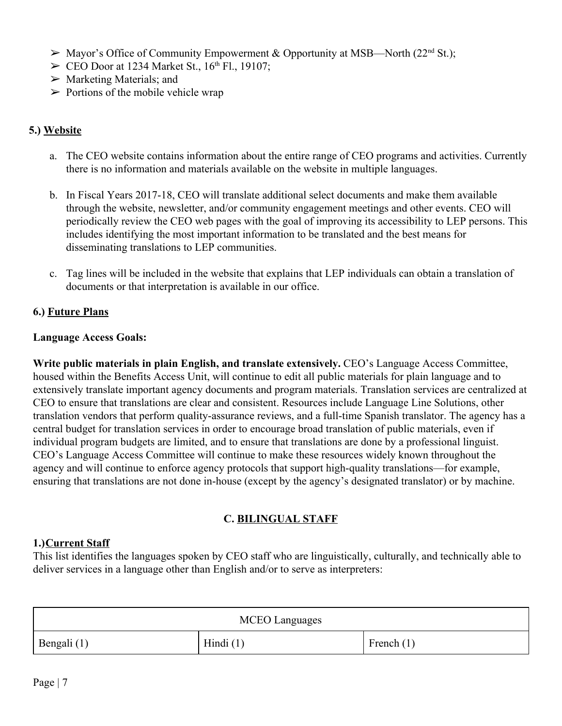- $\triangleright$  Mayor's Office of Community Empowerment & Opportunity at MSB—North (22<sup>nd</sup> St.);
- $\triangleright$  CEO Door at 1234 Market St., 16<sup>th</sup> Fl., 19107;
- $\triangleright$  Marketing Materials; and
- $\triangleright$  Portions of the mobile vehicle wrap

#### **5.) Website**

- a. The CEO website contains information about the entire range of CEO programs and activities. Currently there is no information and materials available on the website in multiple languages.
- b. In Fiscal Years 2017-18, CEO will translate additional select documents and make them available through the website, newsletter, and/or community engagement meetings and other events. CEO will periodically review the CEO web pages with the goal of improving its accessibility to LEP persons. This includes identifying the most important information to be translated and the best means for disseminating translations to LEP communities.
- c. Tag lines will be included in the website that explains that LEP individuals can obtain a translation of documents or that interpretation is available in our office.

#### **6.) Future Plans**

#### **Language Access Goals:**

**Write public materials in plain English, and translate extensively.** CEO's Language Access Committee, housed within the Benefits Access Unit, will continue to edit all public materials for plain language and to extensively translate important agency documents and program materials. Translation services are centralized at CEO to ensure that translations are clear and consistent. Resources include Language Line Solutions, other translation vendors that perform quality-assurance reviews, and a full-time Spanish translator. The agency has a central budget for translation services in order to encourage broad translation of public materials, even if individual program budgets are limited, and to ensure that translations are done by a professional linguist. CEO's Language Access Committee will continue to make these resources widely known throughout the agency and will continue to enforce agency protocols that support high-quality translations—for example, ensuring that translations are not done in-house (except by the agency's designated translator) or by machine.

#### **C. BILINGUAL STAFF**

#### **1.)Current Staff**

This list identifies the languages spoken by CEO staff who are linguistically, culturally, and technically able to deliver services in a language other than English and/or to serve as interpreters:

| <b>MCEO</b> Languages |             |              |
|-----------------------|-------------|--------------|
| Bengali (1)           | Hindi $(1)$ | French $(1)$ |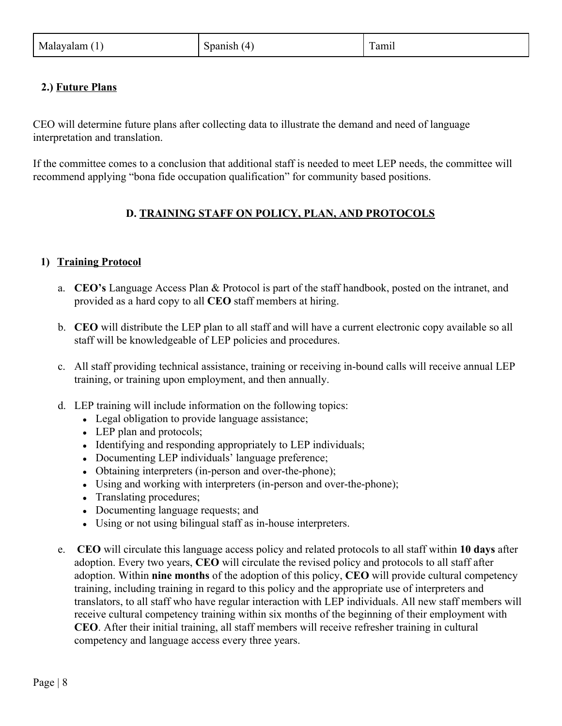### **2.) Future Plans**

CEO will determine future plans after collecting data to illustrate the demand and need of language interpretation and translation.

If the committee comes to a conclusion that additional staff is needed to meet LEP needs, the committee will recommend applying "bona fide occupation qualification" for community based positions.

#### **D. TRAINING STAFF ON POLICY, PLAN, AND PROTOCOLS**

#### **1) Training Protocol**

- a. **CEO's** Language Access Plan & Protocol is part of the staff handbook, posted on the intranet, and provided as a hard copy to all **CEO** staff members at hiring.
- b. **CEO** will distribute the LEP plan to all staff and will have a current electronic copy available so all staff will be knowledgeable of LEP policies and procedures.
- c. All staff providing technical assistance, training or receiving in-bound calls will receive annual LEP training, or training upon employment, and then annually.
- d. LEP training will include information on the following topics:
	- Legal obligation to provide language assistance;
	- $\bullet$  LEP plan and protocols;
	- Identifying and responding appropriately to LEP individuals;
	- Documenting LEP individuals' language preference;
	- Obtaining interpreters (in-person and over-the-phone);
	- Using and working with interpreters (in-person and over-the-phone);
	- Translating procedures;
	- Documenting language requests; and
	- Using or not using bilingual staff as in-house interpreters.
- e. **CEO** will circulate this language access policy and related protocols to all staff within **10 days** after adoption. Every two years, **CEO** will circulate the revised policy and protocols to all staff after adoption. Within **nine months** of the adoption of this policy, **CEO** will provide cultural competency training, including training in regard to this policy and the appropriate use of interpreters and translators, to all staff who have regular interaction with LEP individuals. All new staff members will receive cultural competency training within six months of the beginning of their employment with **CEO**. After their initial training, all staff members will receive refresher training in cultural competency and language access every three years.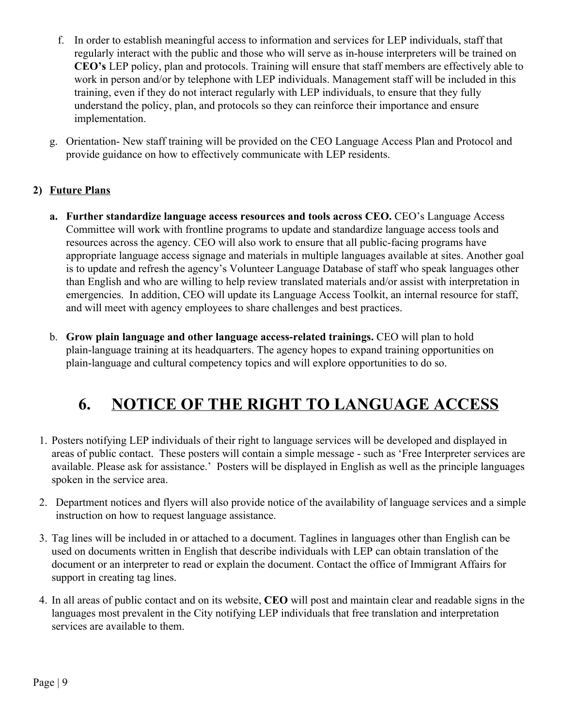- f. In order to establish meaningful access to information and services for LEP individuals, staff that regularly interact with the public and those who will serve as in-house interpreters will be trained on **CEO's** LEP policy, plan and protocols. Training will ensure that staff members are effectively able to work in person and/or by telephone with LEP individuals. Management staff will be included in this training, even if they do not interact regularly with LEP individuals, to ensure that they fully understand the policy, plan, and protocols so they can reinforce their importance and ensure implementation.
- g. Orientation- New staff training will be provided on the CEO Language Access Plan and Protocol and provide guidance on how to effectively communicate with LEP residents.

### **2) Future Plans**

- **a. Further standardize language access resources and tools across CEO.** CEO's Language Access Committee will work with frontline programs to update and standardize language access tools and resources across the agency. CEO will also work to ensure that all public-facing programs have appropriate language access signage and materials in multiple languages available at sites. Another goal is to update and refresh the agency's Volunteer Language Database of staff who speak languages other than English and who are willing to help review translated materials and/or assist with interpretation in emergencies. In addition, CEO will update its Language Access Toolkit, an internal resource for staff, and will meet with agency employees to share challenges and best practices.
- b. **Grow plain language and other language access-related trainings.** CEO will plan to hold plain-language training at its headquarters. The agency hopes to expand training opportunities on plain-language and cultural competency topics and will explore opportunities to do so.

# **6. NOTICE OF THE RIGHT TO LANGUAGE ACCESS**

- 1. Posters notifying LEP individuals of their right to language services will be developed and displayed in areas of public contact. These posters will contain a simple message - such as 'Free Interpreter services are available. Please ask for assistance.' Posters will be displayed in English as well as the principle languages spoken in the service area.
- 2. Department notices and flyers will also provide notice of the availability of language services and a simple instruction on how to request language assistance.
- 3. Tag lines will be included in or attached to a document. Taglines in languages other than English can be used on documents written in English that describe individuals with LEP can obtain translation of the document or an interpreter to read or explain the document. Contact the office of Immigrant Affairs for support in creating tag lines.
- 4. In all areas of public contact and on its website, **CEO** will post and maintain clear and readable signs in the languages most prevalent in the City notifying LEP individuals that free translation and interpretation services are available to them.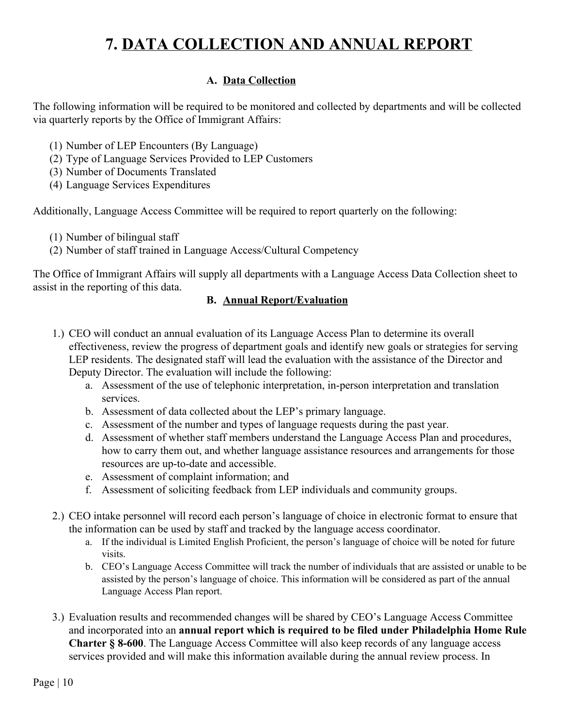# **7. DATA COLLECTION AND ANNUAL REPORT**

### **A. Data Collection**

The following information will be required to be monitored and collected by departments and will be collected via quarterly reports by the Office of Immigrant Affairs:

- (1) Number of LEP Encounters (By Language)
- (2) Type of Language Services Provided to LEP Customers
- (3) Number of Documents Translated
- (4) Language Services Expenditures

Additionally, Language Access Committee will be required to report quarterly on the following:

- (1) Number of bilingual staff
- (2) Number of staff trained in Language Access/Cultural Competency

The Office of Immigrant Affairs will supply all departments with a Language Access Data Collection sheet to assist in the reporting of this data.

#### **B. Annual Report/Evaluation**

- 1.) CEO will conduct an annual evaluation of its Language Access Plan to determine its overall effectiveness, review the progress of department goals and identify new goals or strategies for serving LEP residents. The designated staff will lead the evaluation with the assistance of the Director and Deputy Director. The evaluation will include the following:
	- a. Assessment of the use of telephonic interpretation, in-person interpretation and translation services.
	- b. Assessment of data collected about the LEP's primary language.
	- c. Assessment of the number and types of language requests during the past year.
	- d. Assessment of whether staff members understand the Language Access Plan and procedures, how to carry them out, and whether language assistance resources and arrangements for those resources are up-to-date and accessible.
	- e. Assessment of complaint information; and
	- f. Assessment of soliciting feedback from LEP individuals and community groups.
- 2.) CEO intake personnel will record each person's language of choice in electronic format to ensure that the information can be used by staff and tracked by the language access coordinator.
	- a. If the individual is Limited English Proficient, the person's language of choice will be noted for future visits.
	- b. CEO's Language Access Committee will track the number of individuals that are assisted or unable to be assisted by the person's language of choice. This information will be considered as part of the annual Language Access Plan report.
- 3.) Evaluation results and recommended changes will be shared by CEO's Language Access Committee and incorporated into an **annual report which is required to be filed under Philadelphia Home Rule Charter § 8-600**. The Language Access Committee will also keep records of any language access services provided and will make this information available during the annual review process. In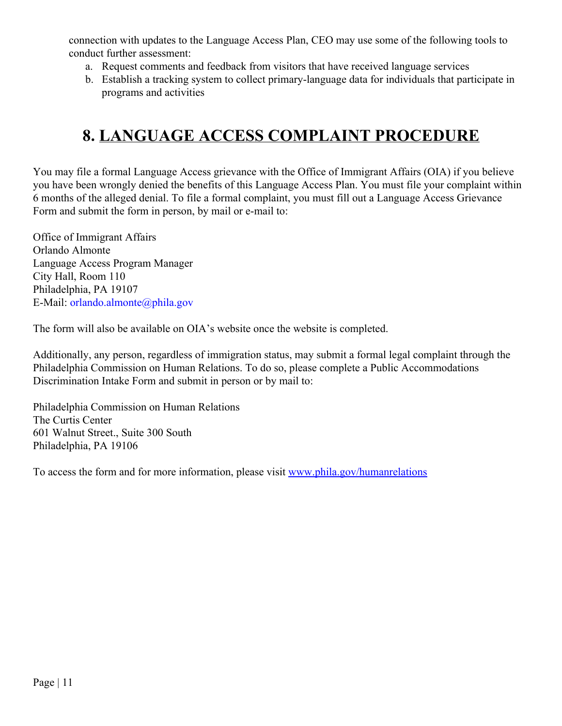connection with updates to the Language Access Plan, CEO may use some of the following tools to conduct further assessment:

- a. Request comments and feedback from visitors that have received language services
- b. Establish a tracking system to collect primary-language data for individuals that participate in programs and activities

# **8. LANGUAGE ACCESS COMPLAINT PROCEDURE**

You may file a formal Language Access grievance with the Office of Immigrant Affairs (OIA) if you believe you have been wrongly denied the benefits of this Language Access Plan. You must file your complaint within 6 months of the alleged denial. To file a formal complaint, you must fill out a Language Access Grievance Form and submit the form in person, by mail or e-mail to:

Office of Immigrant Affairs Orlando Almonte Language Access Program Manager City Hall, Room 110 Philadelphia, PA 19107 E-Mail: [orlando.almonte@phila.gov](mailto:orlando.almonte@phila.gov)

The form will also be available on OIA's website once the website is completed.

Additionally, any person, regardless of immigration status, may submit a formal legal complaint through the Philadelphia Commission on Human Relations. To do so, please complete a Public Accommodations Discrimination Intake Form and submit in person or by mail to:

Philadelphia Commission on Human Relations The Curtis Center 601 Walnut Street., Suite 300 South Philadelphia, PA 19106

To access the form and for more information, please visit [www.phila.gov/humanrelations](http://www.phila.gov/humanrelations)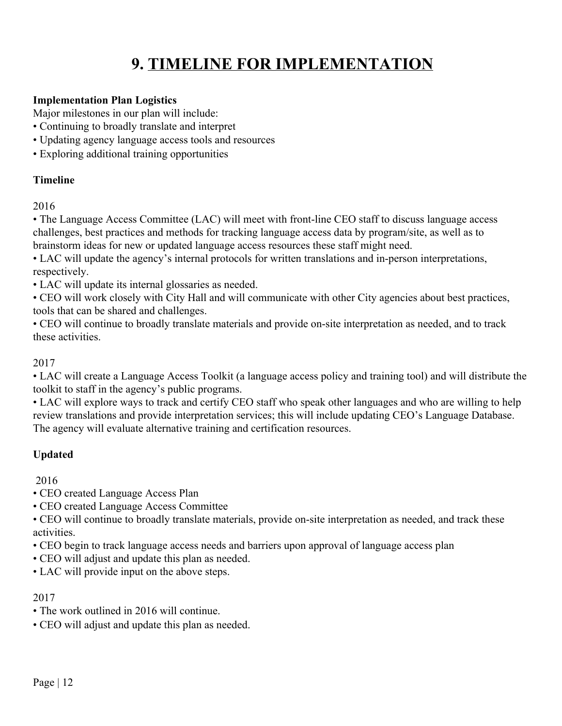# **9. TIMELINE FOR IMPLEMENTATION**

#### **Implementation Plan Logistics**

Major milestones in our plan will include:

- Continuing to broadly translate and interpret
- Updating agency language access tools and resources
- Exploring additional training opportunities

#### **Timeline**

2016

• The Language Access Committee (LAC) will meet with front-line CEO staff to discuss language access challenges, best practices and methods for tracking language access data by program/site, as well as to brainstorm ideas for new or updated language access resources these staff might need.

• LAC will update the agency's internal protocols for written translations and in-person interpretations, respectively.

• LAC will update its internal glossaries as needed.

• CEO will work closely with City Hall and will communicate with other City agencies about best practices, tools that can be shared and challenges.

• CEO will continue to broadly translate materials and provide on-site interpretation as needed, and to track these activities.

#### 2017

• LAC will create a Language Access Toolkit (a language access policy and training tool) and will distribute the toolkit to staff in the agency's public programs.

• LAC will explore ways to track and certify CEO staff who speak other languages and who are willing to help review translations and provide interpretation services; this will include updating CEO's Language Database. The agency will evaluate alternative training and certification resources.

### **Updated**

2016

• CEO created Language Access Plan

• CEO created Language Access Committee

• CEO will continue to broadly translate materials, provide on-site interpretation as needed, and track these activities.

- CEO begin to track language access needs and barriers upon approval of language access plan
- CEO will adjust and update this plan as needed.

• LAC will provide input on the above steps.

#### 2017

- The work outlined in 2016 will continue.
- CEO will adjust and update this plan as needed.